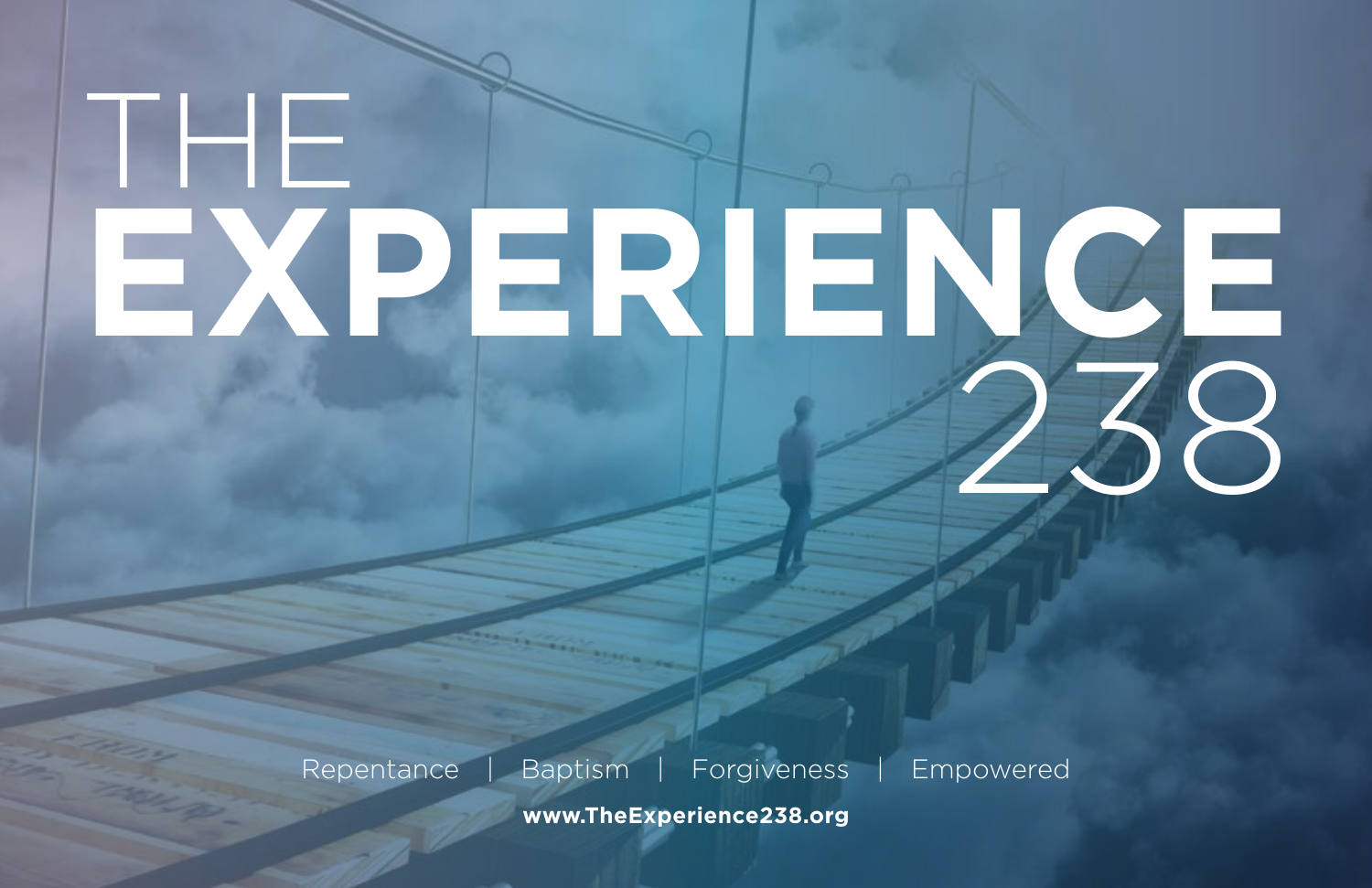## THE **EXPERIENCE** 238

Repentance | Baptism | Forgiveness | Empowered **www.TheExperience238.org**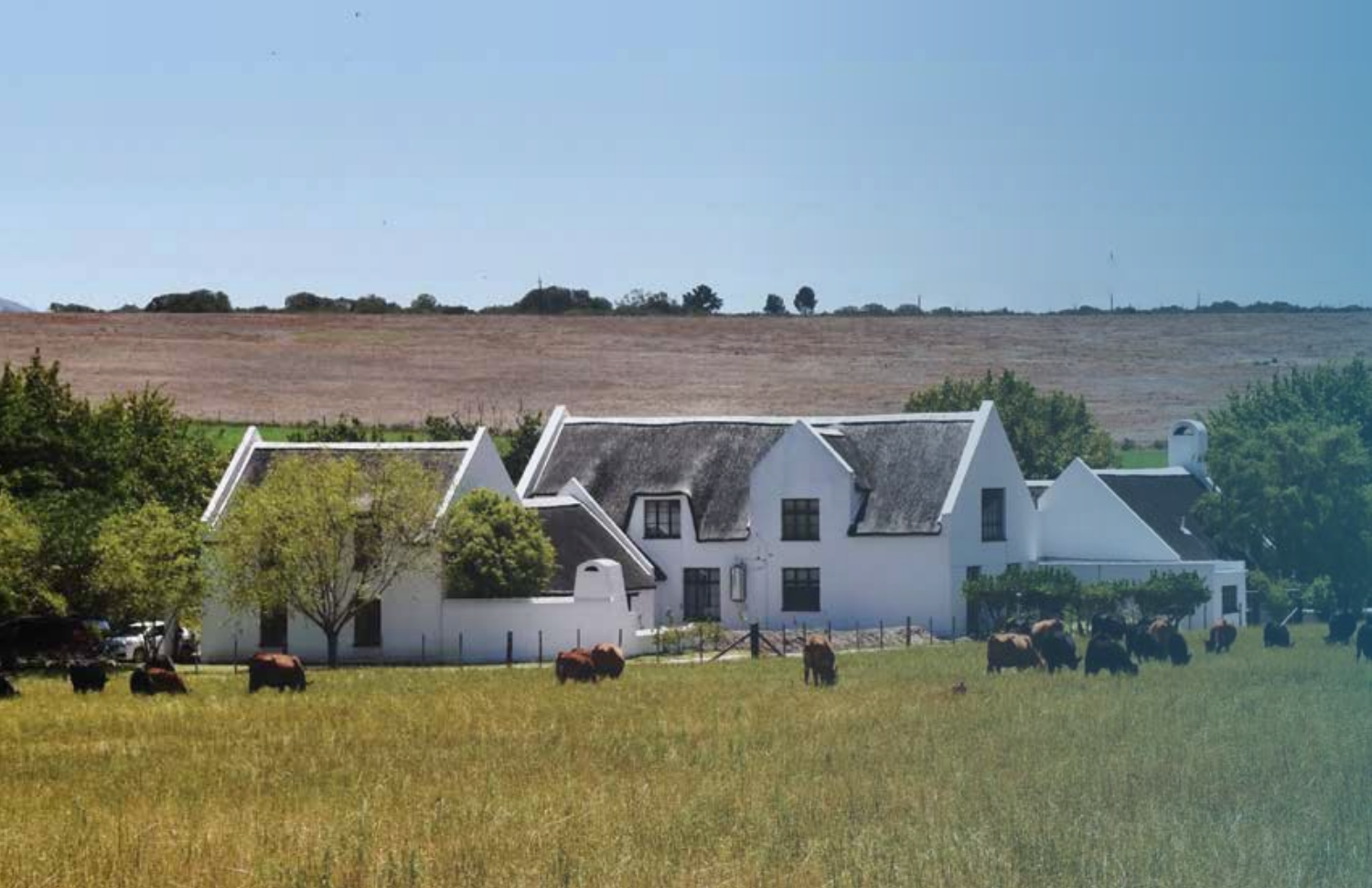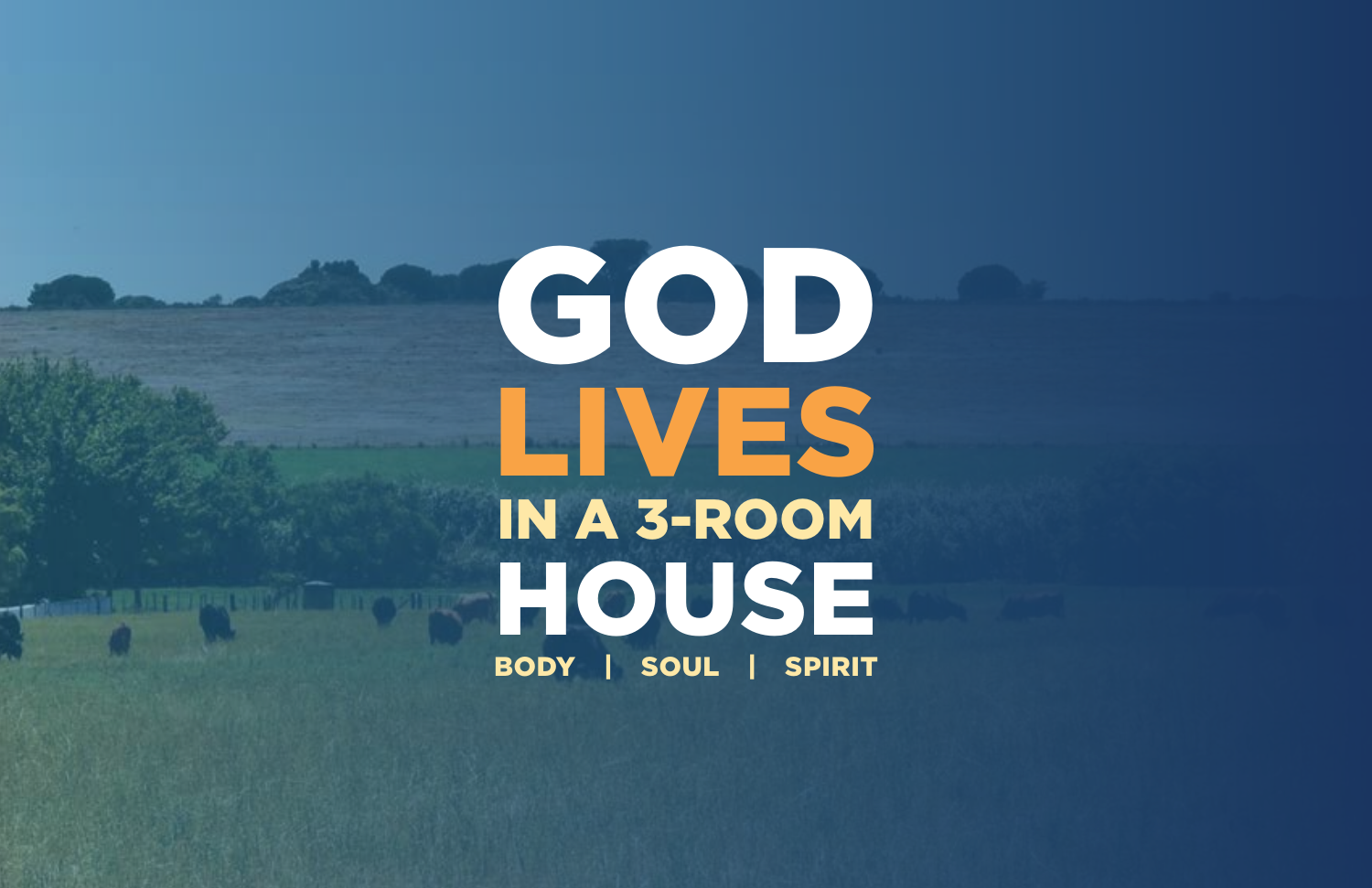## GOD LIVES HOUSE IN A 3-ROOM BODY | SOUL | SPIRIT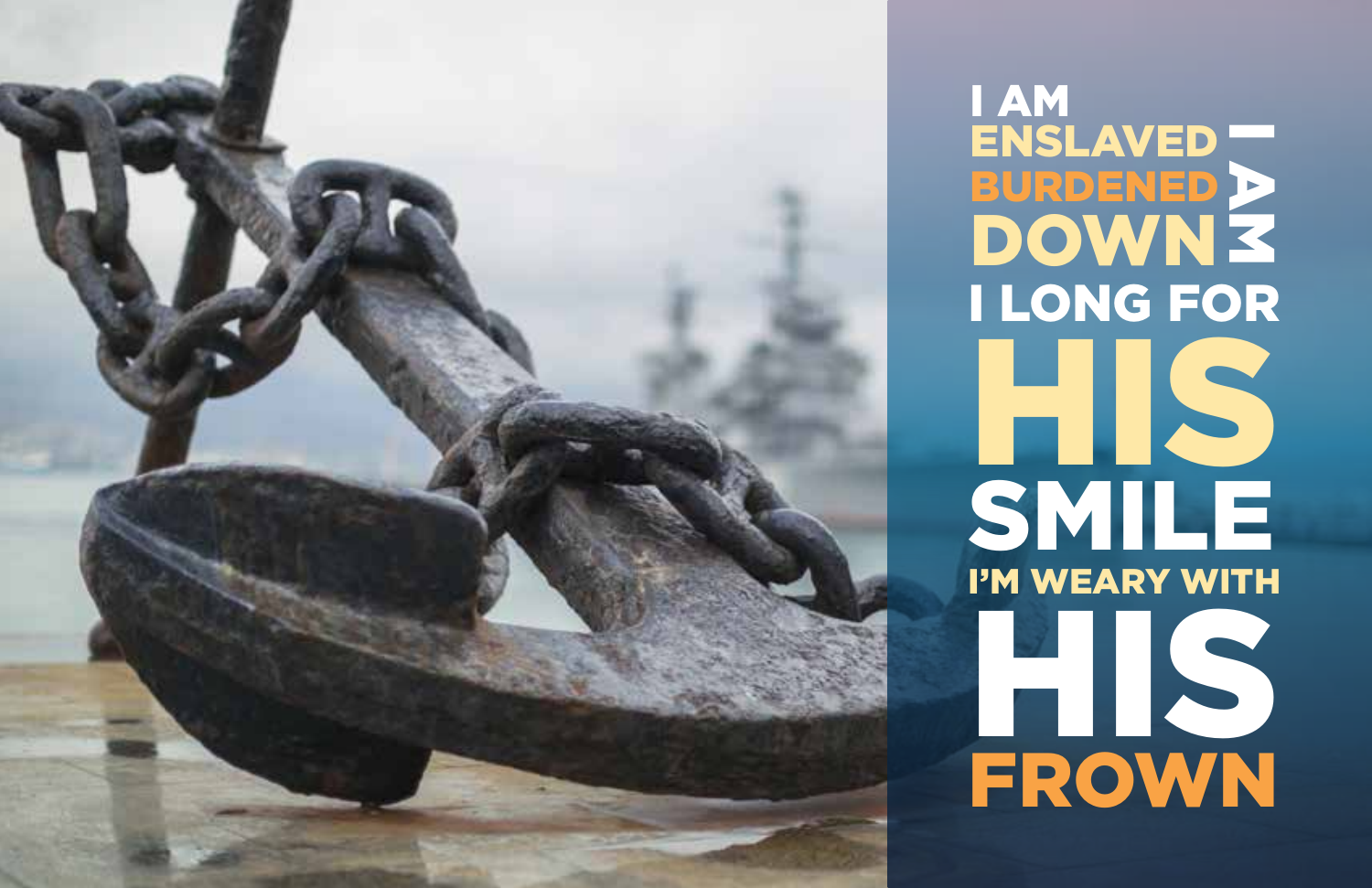

ENSLAVED I AM N<br>K BURDENED **DOWN3** I LONG FOR HIS SMILE HIS FROWN I'M WEARY WITH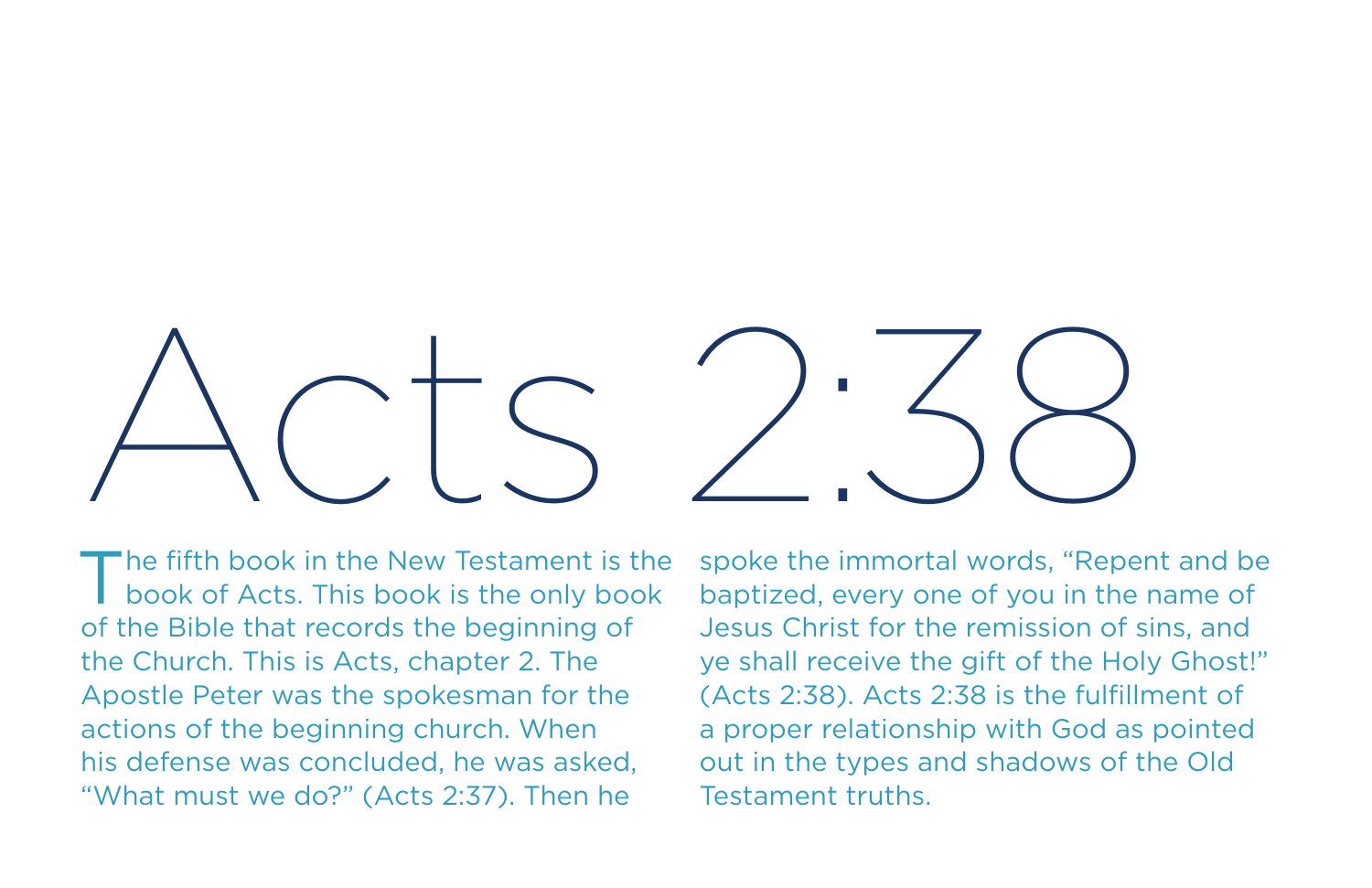

The fifth book in the New Testament is the book of Acts. This book is the only book of the Bible that records the beginning of the Church. This is Acts, chapter 2. The Apostle Peter was the spokesman for the actions of the beginning church. When his defense was concluded, he was asked, "What must we do?" (Acts 2:37). Then he

spoke the immortal words, "Repent and be baptized, every one of you in the name of Jesus Christ for the remission of sins, and ye shall receive the gift of the Holy Ghost!" (Acts 2:38). Acts 2:38 is the fulfillment of a proper relationship with God as pointed out in the types and shadows of the Old Testament truths.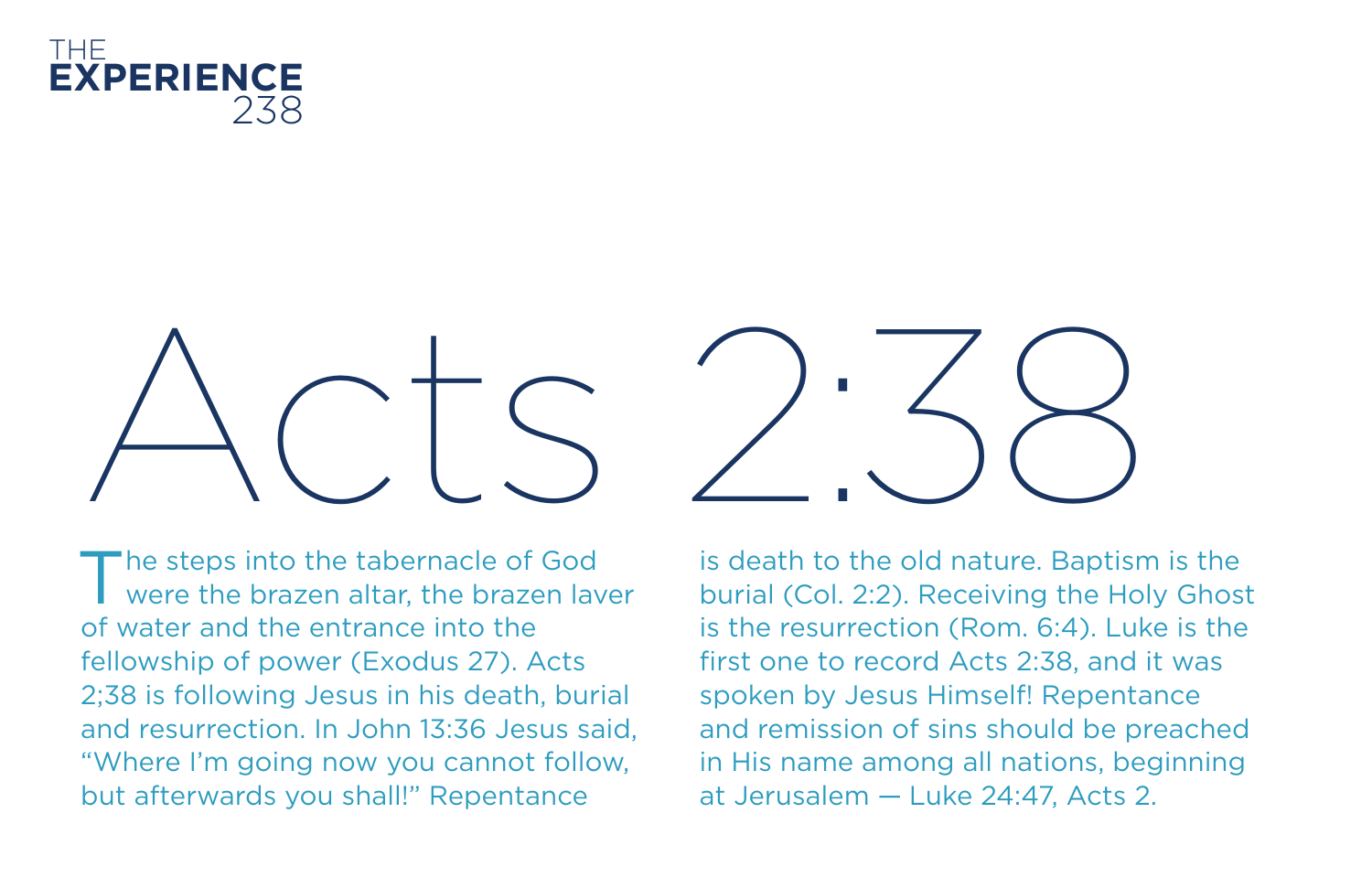



The steps into the tabernacle of God<br>were the brazen altar, the brazen laver of water and the entrance into the fellowship of power (Exodus 27). Acts 2;38 is following Jesus in his death, burial and resurrection. In John 13:36 Jesus said, "Where I'm going now you cannot follow, but afterwards you shall!" Repentance



is death to the old nature. Baptism is the burial (Col. 2:2). Receiving the Holy Ghost is the resurrection (Rom. 6:4). Luke is the first one to record Acts 2:38, and it was spoken by Jesus Himself! Repentance and remission of sins should be preached in His name among all nations, beginning at Jerusalem — Luke 24:47, Acts 2.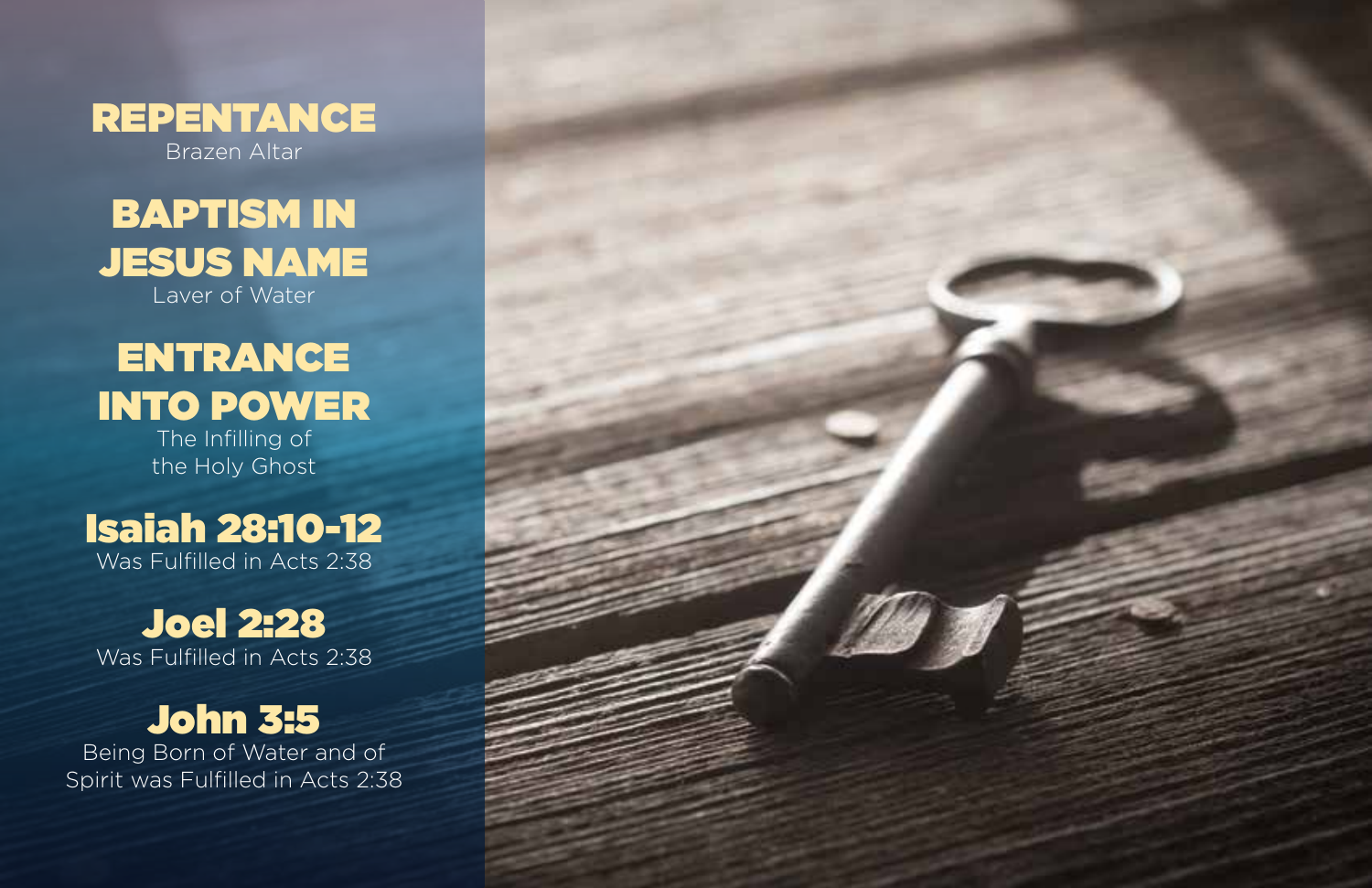**REPENTANCE** Brazen Altar



### ENTRANCE INTO POWER

The Infilling of the Holy Ghost

Isaiah 28:10-12 Was Fulfilled in Acts 2:38

Joel 2:28 Was Fulfilled in Acts 2:38

John 3:5 Being Born of Water and of

Spirit was Fulfilled in Acts 2:38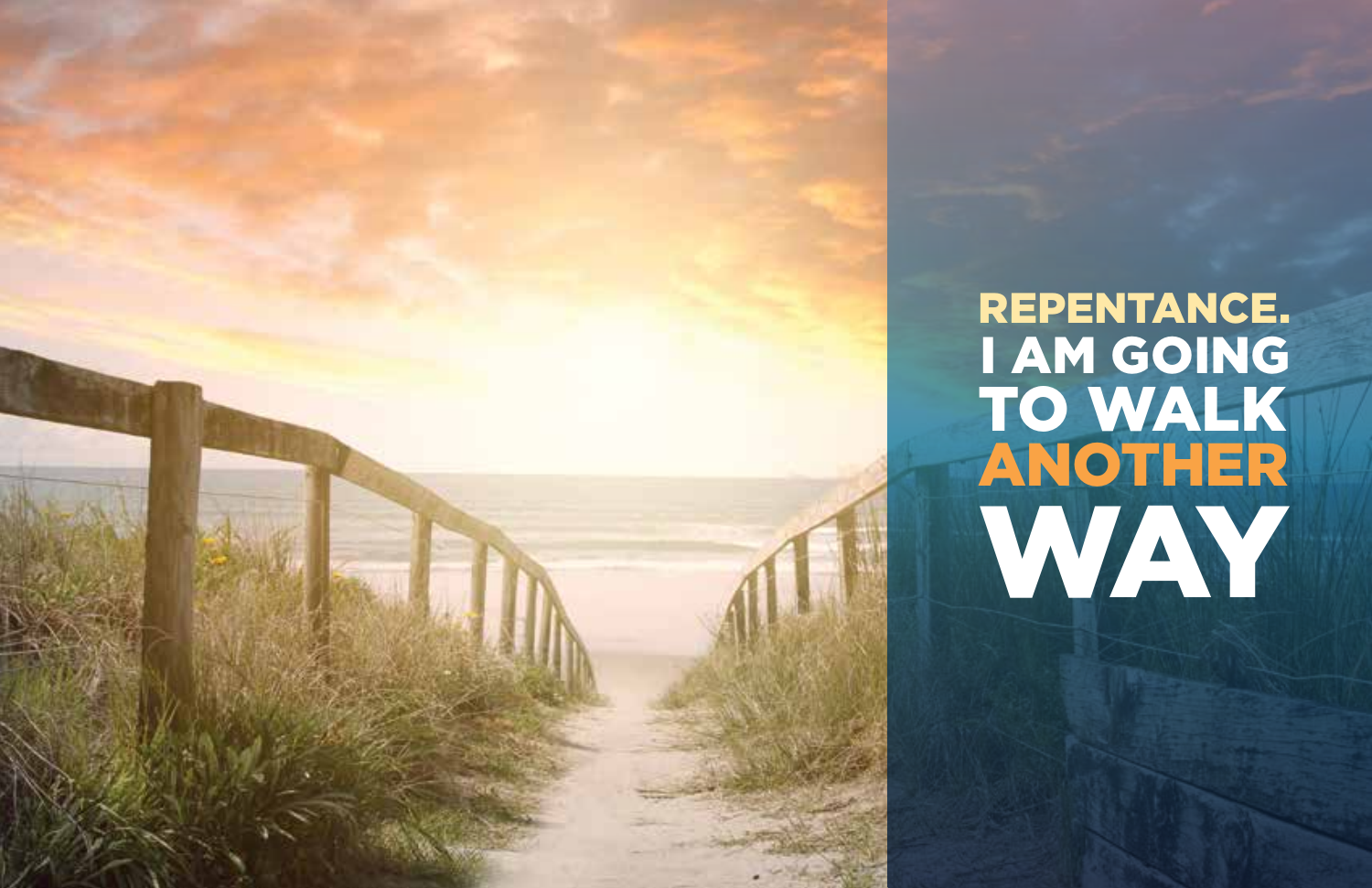## I AM GOING ANOTHER TO WALK WAY REPENTANCE.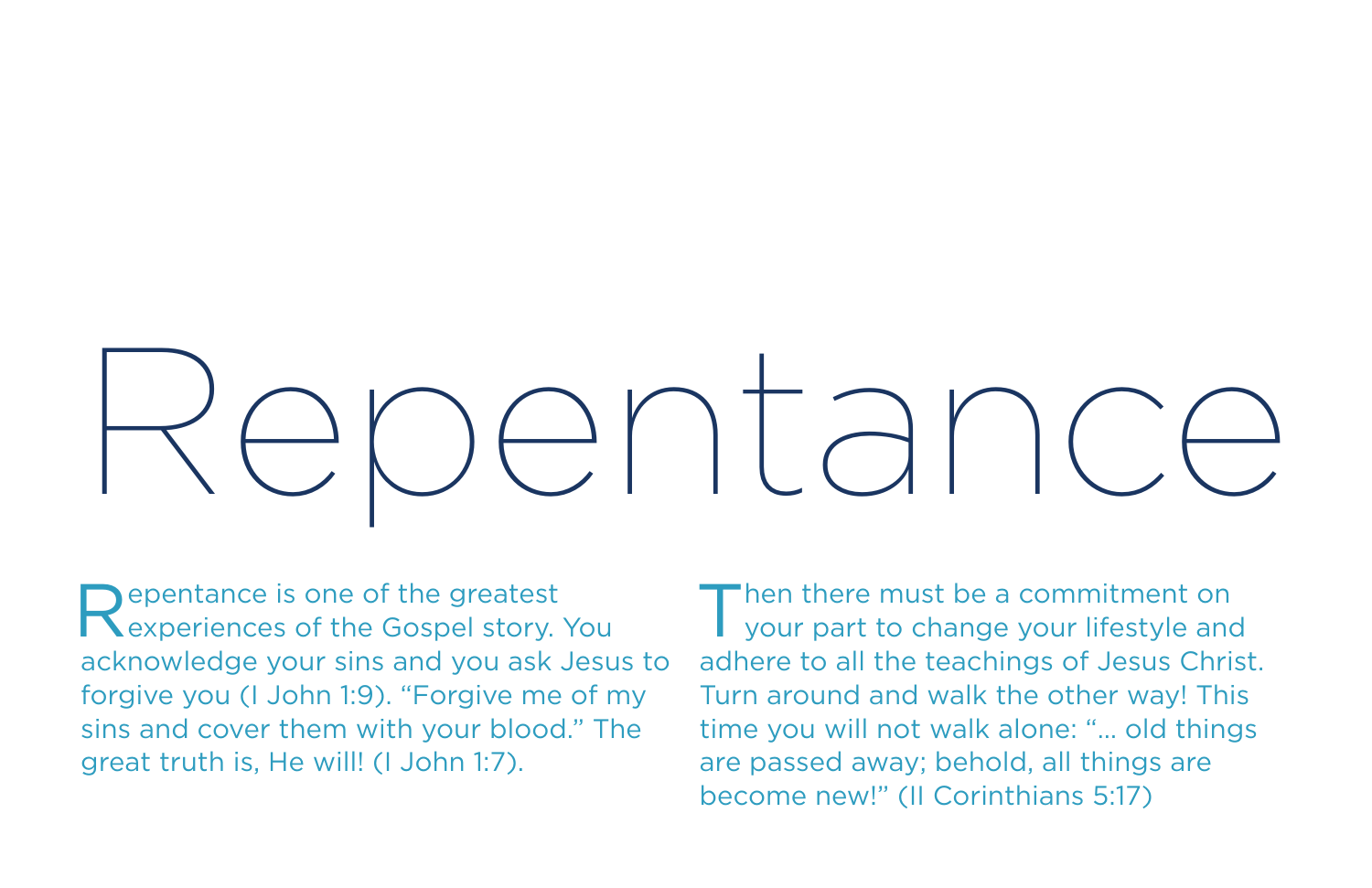## Repentance

Repentance is one of the greatest experiences of the Gospel story. You acknowledge your sins and you ask Jesus to forgive you (I John 1:9). "Forgive me of my sins and cover them with your blood." The great truth is, He will! (I John 1:7).

Then there must be a commitment on<br>your part to change your lifestyle and adhere to all the teachings of Jesus Christ. Turn around and walk the other way! This time you will not walk alone: "… old things are passed away; behold, all things are become new!" (II Corinthians 5:17)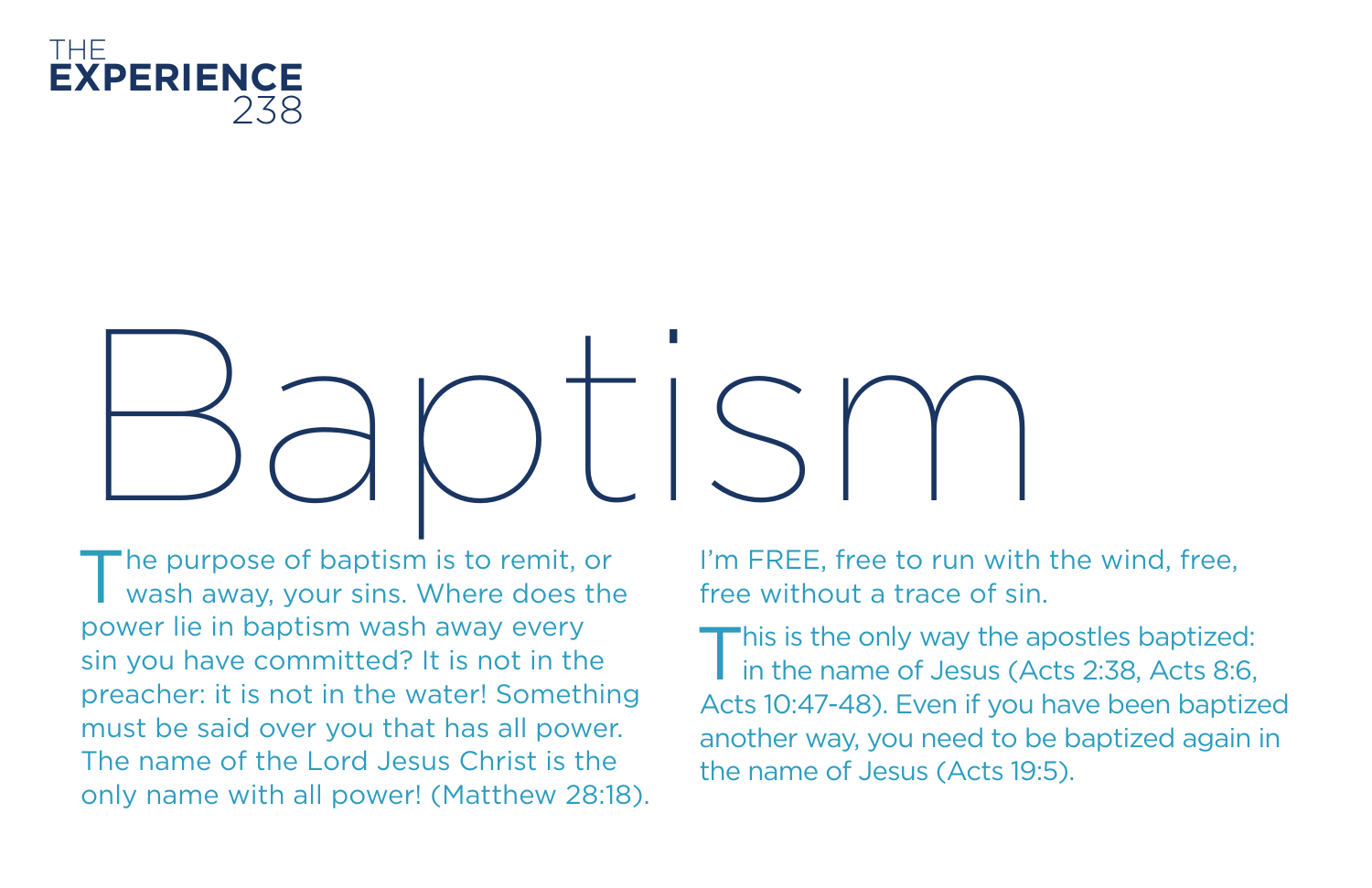

# Baptism

The purpose of baptism is to remit, or wash away, your sins. Where does the power lie in baptism wash away every sin you have committed? It is not in the preacher: it is not in the water! Something must be said over you that has all power. The name of the Lord Jesus Christ is the only name with all power! (Matthew 28:18). I'm FREE, free to run with the wind, free, free without a trace of sin.

This is the only way the apostles baptized: in the name of Jesus (Acts 2:38, Acts 8:6, Acts 10:47-48). Even if you have been baptized another way, you need to be baptized again in the name of Jesus (Acts 19:5).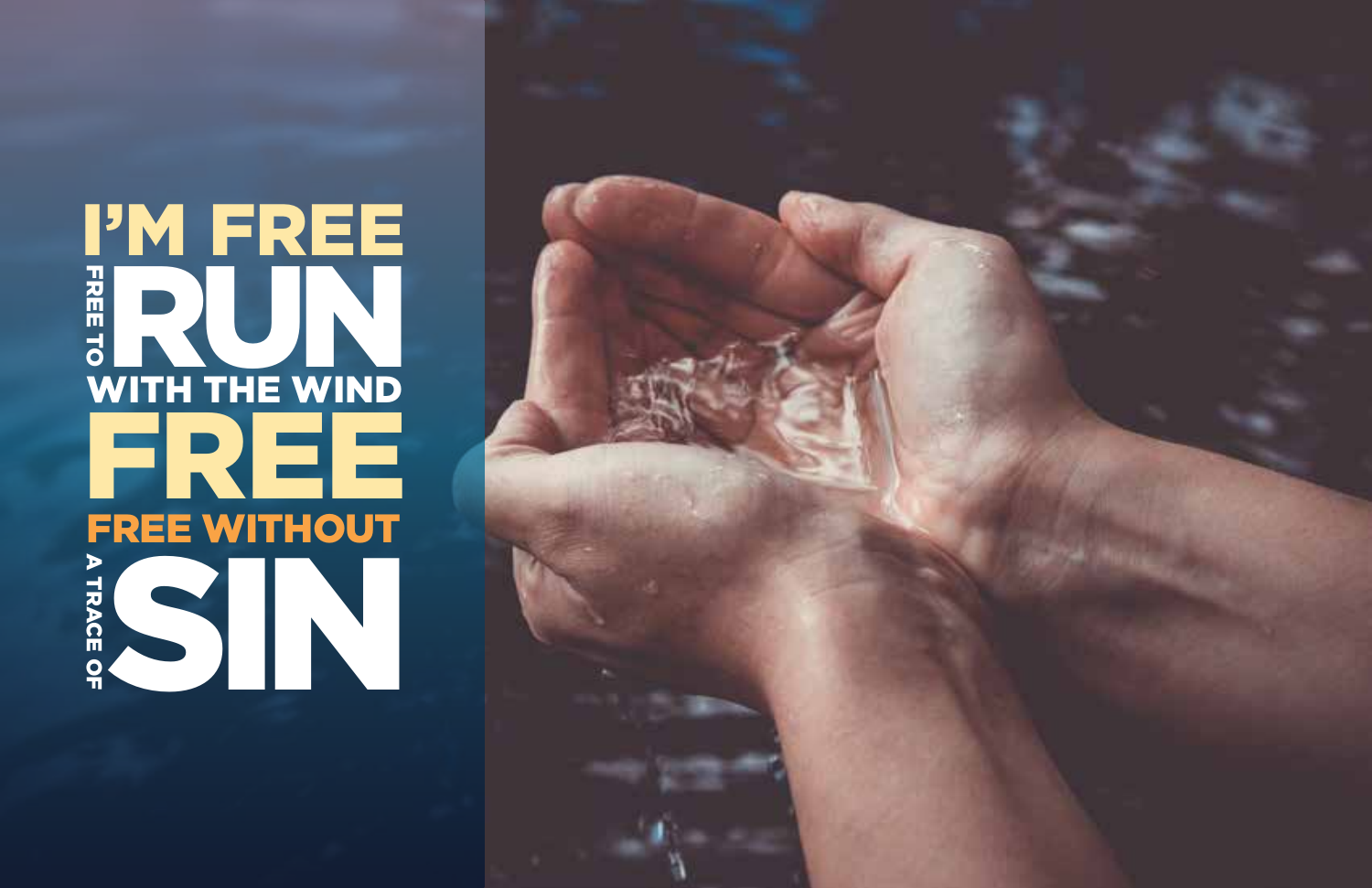### TREE TO FREE WITHOUT WITH THE WIND A TRACE OF FREE **SINGLE OF** I'M FREE **RUNE**

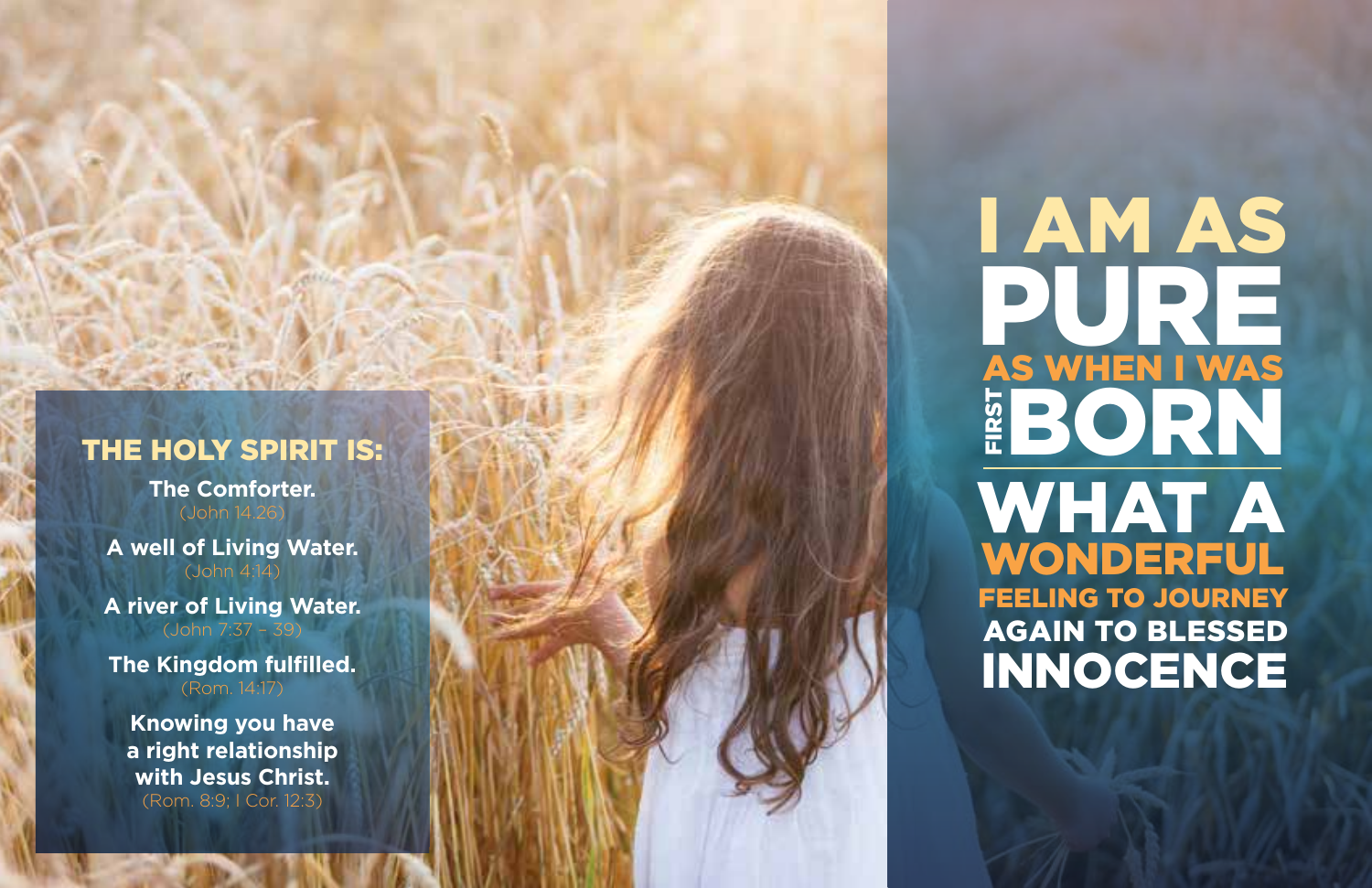#### THE HOLY SPIRIT IS:

**The Comforter.** (John 14.26)

**A well of Living Water.** (John 4:14)

**A river of Living Water.**  $(lohn 7:37 - 39)$ 

**The Kingdom fulfilled.** (Rom. 14:17)

**Knowing you have a right relationship with Jesus Christ.** (Rom. 8:9; I Cor. 12:3)

### AS WHEN I WAS FEELING TO JOURNEY<br>AGAIN TO BLESSED ENDORN<br>WHAT A<br>WONDERFUL<br>FEELING TO JOURNEY<br>AGAIN TO BLESSED WONDERFUL INNOCENCE WHAT A PURE I AM AS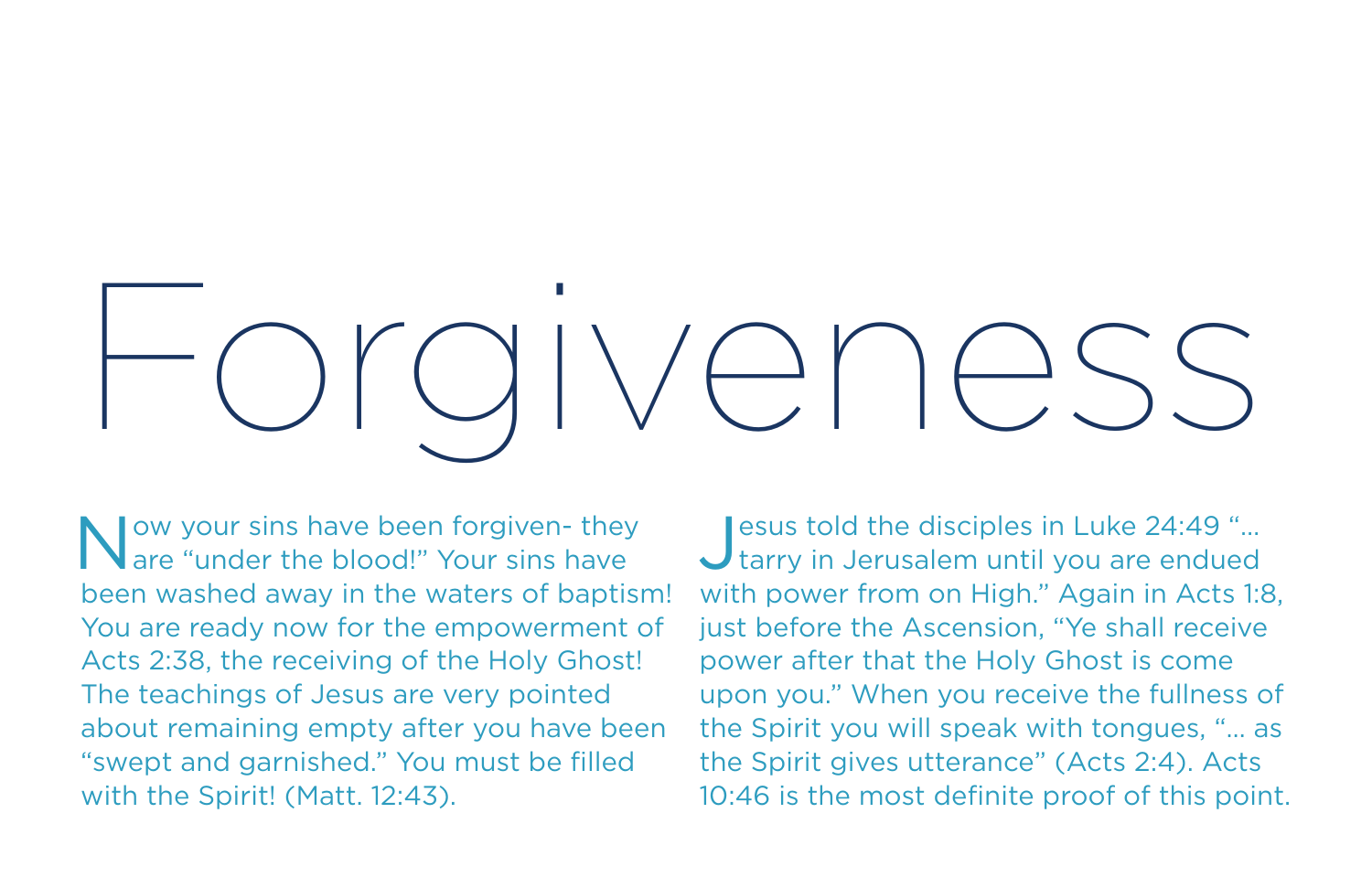# Forgiveness

Now your sins have been forgiven- they<br>are "under the blood!" Your sins have been washed away in the waters of baptism! You are ready now for the empowerment of Acts 2:38, the receiving of the Holy Ghost! The teachings of Jesus are very pointed about remaining empty after you have been "swept and garnished." You must be filled with the Spirit! (Matt. 12:43).

Jesus told the disciples in Luke 24:49 "… tarry in Jerusalem until you are endued with power from on High." Again in Acts 1:8, just before the Ascension, "Ye shall receive power after that the Holy Ghost is come upon you." When you receive the fullness of the Spirit you will speak with tongues, "… as the Spirit gives utterance" (Acts 2:4). Acts 10:46 is the most definite proof of this point.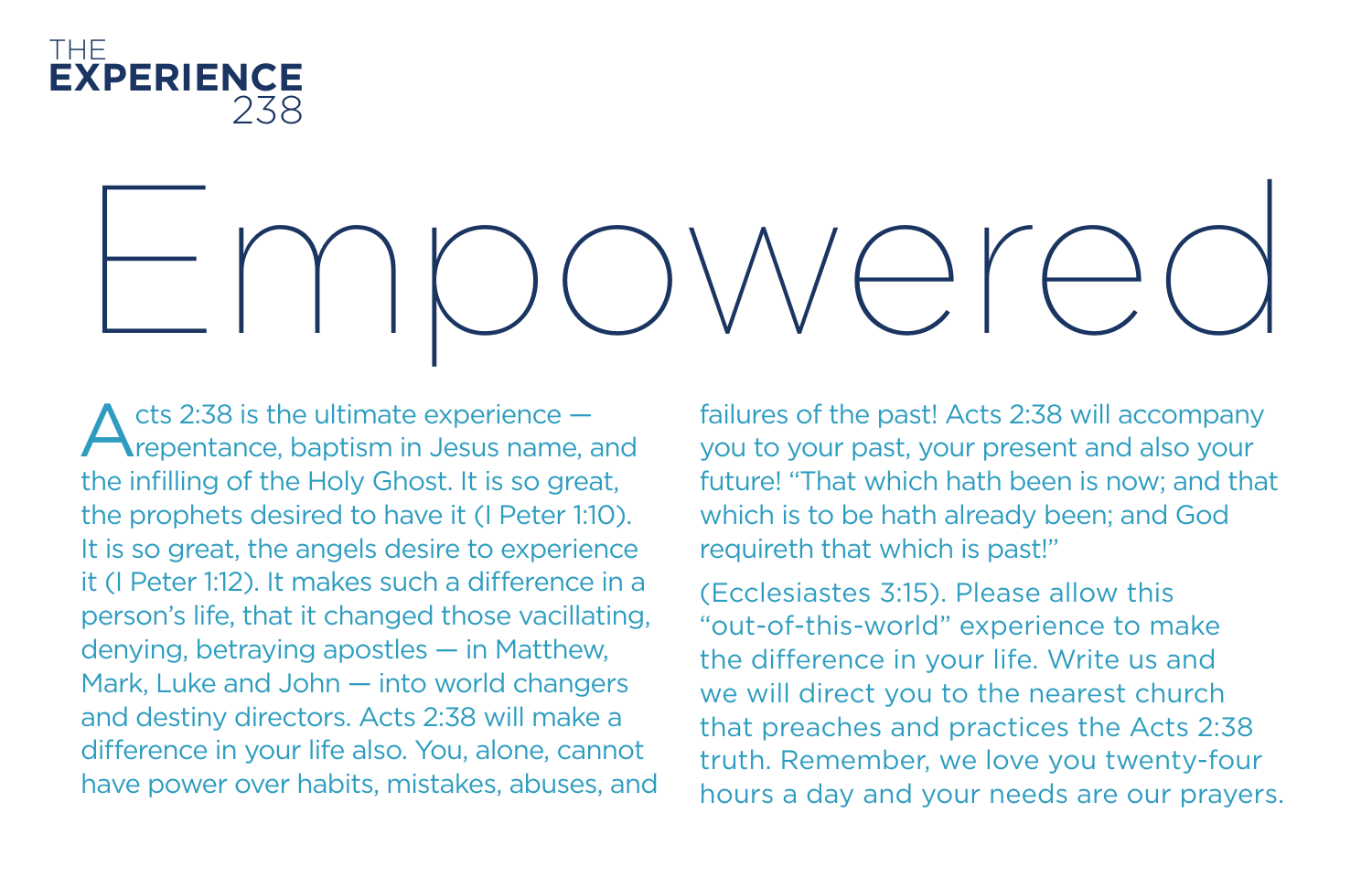

## Empowered

Acts 2:38 is the ultimate experience –<br>
repentance, baptism in Jesus name, and the infilling of the Holy Ghost. It is so great, the prophets desired to have it (I Peter 1:10). It is so great, the angels desire to experience it (I Peter 1:12). It makes such a difference in a person's life, that it changed those vacillating, denying, betraying apostles — in Matthew, Mark, Luke and John — into world changers and destiny directors. Acts 2:38 will make a difference in your life also. You, alone, cannot have power over habits, mistakes, abuses, and

failures of the past! Acts 2:38 will accompany you to your past, your present and also your future! "That which hath been is now; and that which is to be hath already been; and God requireth that which is past!"

(Ecclesiastes 3:15). Please allow this "out-of-this-world" experience to make the difference in your life. Write us and we will direct you to the nearest church that preaches and practices the Acts 2:38 truth. Remember, we love you twenty-four hours a day and your needs are our prayers.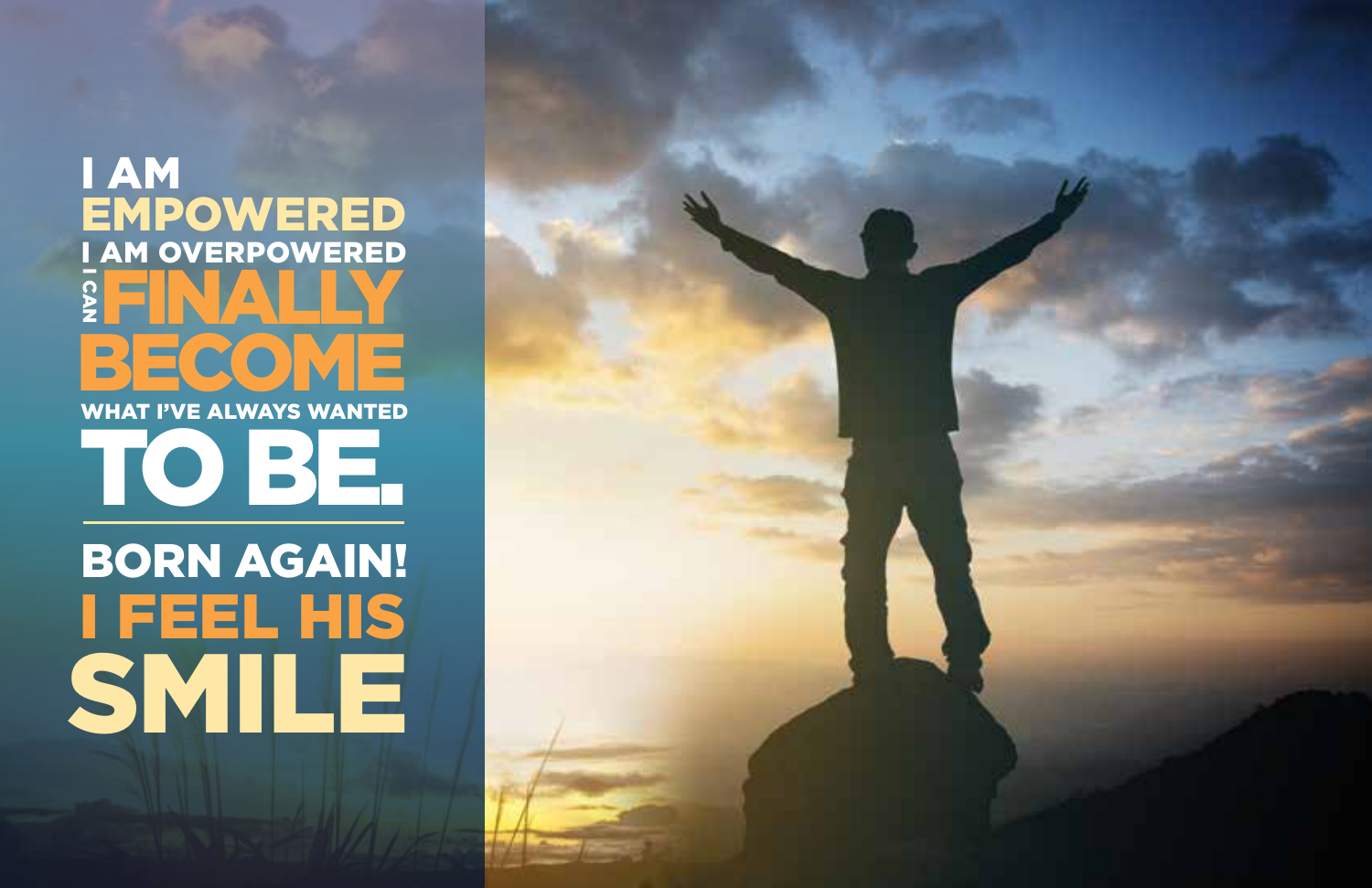### T<br>እን<br>አ I FEEL HIS BORN AGAIN! BECOME<br>WHAT I'VE ALWAYS WANTED I AM OVERPOWERED SMILE EMPOWERED TO BE. FINALLY I AM